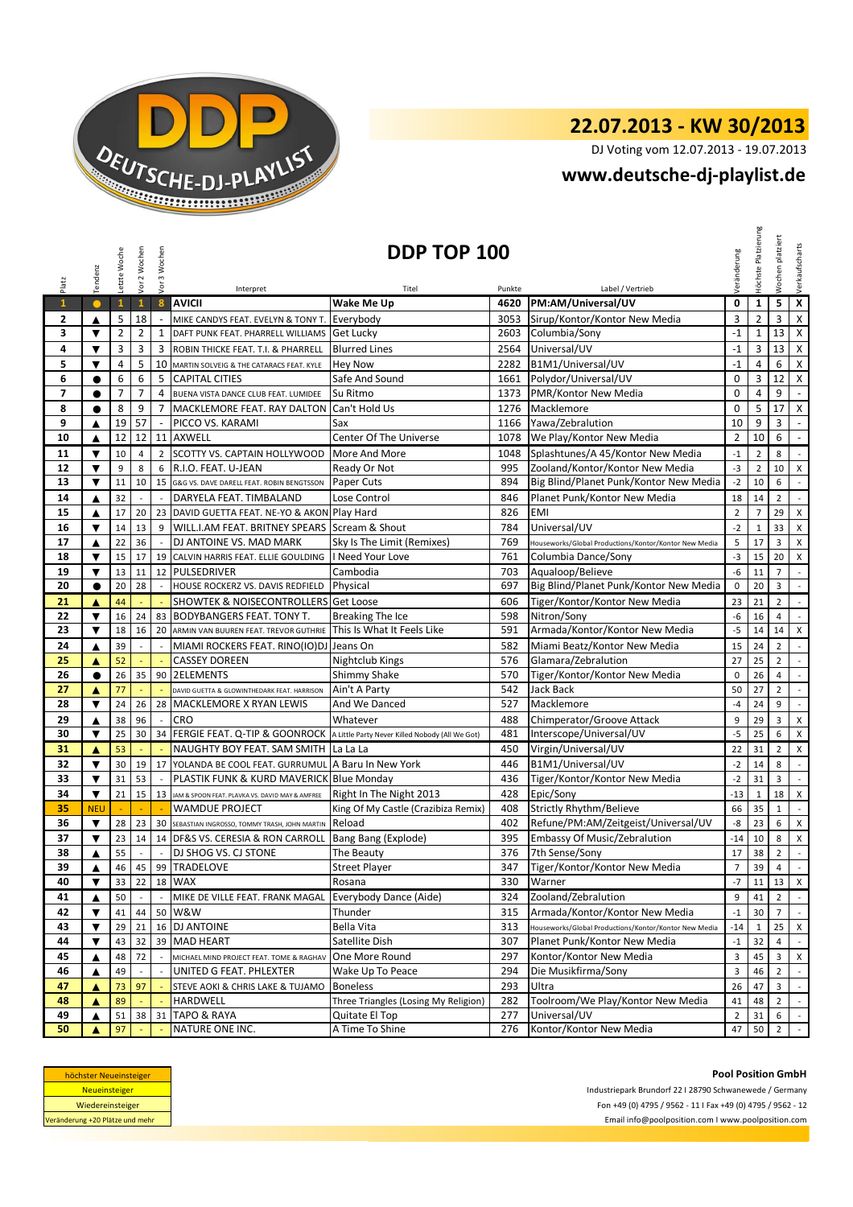

DJ Voting vom 12.07.2013 - 19.07.2013

### **www.deutsche-dj-playlist.de**

|                                                                                                                                                                                                                                                                                                        | Tendenz                 | Letzte Woche   | Vor 2 Wochen   | Vor 3 Wochen             |                                                                               | <b>DDP TOP 100</b>                                      |            |                                                       | /eränderung             | Höchste        | Wochen platziert        | Verkaufscharts              |
|--------------------------------------------------------------------------------------------------------------------------------------------------------------------------------------------------------------------------------------------------------------------------------------------------------|-------------------------|----------------|----------------|--------------------------|-------------------------------------------------------------------------------|---------------------------------------------------------|------------|-------------------------------------------------------|-------------------------|----------------|-------------------------|-----------------------------|
| Platz                                                                                                                                                                                                                                                                                                  |                         |                |                |                          | Interpret                                                                     | Titel                                                   | Punkte     | Label / Vertrieb                                      |                         |                |                         |                             |
| $\mathbf{1}$                                                                                                                                                                                                                                                                                           | $\bullet$               | $\mathbf{1}$   | $\mathbf{1}$   | $\boldsymbol{8}$         | <b>AVICII</b>                                                                 | Wake Me Up                                              | 4620       | PM:AM/Universal/UV                                    | 0                       | $\mathbf{1}$   | 5 <sub>1</sub>          | $\overline{\mathbf{x}}$     |
| $\mathbf{2}$                                                                                                                                                                                                                                                                                           | ▲                       | 5              | 18             | $\overline{\phantom{a}}$ | MIKE CANDYS FEAT. EVELYN & TONY T.                                            | Everybody                                               | 3053       | Sirup/Kontor/Kontor New Media                         | 3                       | $\overline{2}$ | 3                       | $\mathsf X$                 |
| 3                                                                                                                                                                                                                                                                                                      | ▼                       | $\overline{2}$ | $\overline{2}$ | 1                        | DAFT PUNK FEAT. PHARRELL WILLIAMS                                             | <b>Get Lucky</b>                                        | 2603       | Columbia/Sony                                         | $-1$                    | $\mathbf{1}$   | 13                      | $\mathsf{X}$                |
| 4                                                                                                                                                                                                                                                                                                      | ▼                       | 3              | 3              | 3                        | ROBIN THICKE FEAT. T.I. & PHARRELL                                            | <b>Blurred Lines</b>                                    | 2564       | Universal/UV                                          | $-1$                    | 3              | 13                      | X                           |
| 5                                                                                                                                                                                                                                                                                                      | $\overline{\mathbf{v}}$ | $\overline{4}$ | 5              | 10                       | MARTIN SOLVEIG & THE CATARACS FEAT. KYLE                                      | <b>Hey Now</b>                                          | 2282       | B1M1/Universal/UV                                     | $-1$                    | 4              | 6                       | $\mathsf X$                 |
| 6                                                                                                                                                                                                                                                                                                      | $\bullet$               | 6              | 6              | 5                        | <b>CAPITAL CITIES</b>                                                         | Safe And Sound                                          | 1661       | Polydor/Universal/UV                                  | $\mathbf 0$             | 3              | 12                      | $\mathsf{X}$                |
| $\overline{ }$                                                                                                                                                                                                                                                                                         | $\bullet$               | $\overline{7}$ | $\overline{7}$ | 4                        | BUENA VISTA DANCE CLUB FEAT. LUMIDEE                                          | Su Ritmo                                                | 1373       | PMR/Kontor New Media                                  | 0                       | 4              | 9                       | $\omega$                    |
| 8                                                                                                                                                                                                                                                                                                      | $\bullet$               | 8              | 9              | $\overline{7}$           | MACKLEMORE FEAT. RAY DALTON                                                   | Can't Hold Us                                           | 1276       | Macklemore                                            | $\pmb{0}$               | 5              | 17                      | $\mathsf{X}$                |
| 9                                                                                                                                                                                                                                                                                                      | ▲                       | 19             | 57             | $\sim$                   | PICCO VS. KARAMI                                                              | Sax                                                     | 1166       | Yawa/Zebralution                                      | 10                      | 9              | 3                       | $\sim$                      |
| 10                                                                                                                                                                                                                                                                                                     | ▲                       | 12             | 12             |                          | 11 AXWELL                                                                     | Center Of The Universe                                  | 1078       | We Play/Kontor New Media                              | $\overline{2}$          | 10             | 6                       | $\omega_{\rm c}$            |
| 11                                                                                                                                                                                                                                                                                                     | $\blacktriangledown$    | 10             | $\overline{4}$ | $\overline{2}$           | SCOTTY VS. CAPTAIN HOLLYWOOD                                                  | More And More                                           | 1048       | Splashtunes/A 45/Kontor New Media                     | $-1$                    | $\overline{2}$ | 8                       | $\mathbb{L}$                |
| 12                                                                                                                                                                                                                                                                                                     | $\blacktriangledown$    | 9              | 8              | 6                        | R.I.O. FEAT. U-JEAN                                                           | Ready Or Not                                            | 995        | Zooland/Kontor/Kontor New Media                       | $-3$                    | $\overline{2}$ | 10                      | X                           |
| 13                                                                                                                                                                                                                                                                                                     | ▼                       | 11             | 10             | 15                       | G&G VS. DAVE DARELL FEAT. ROBIN BENGTSSON                                     | Paper Cuts                                              | 894        | Big Blind/Planet Punk/Kontor New Media                | $-2$                    | 10             | 6                       | $\sim$                      |
| 14                                                                                                                                                                                                                                                                                                     | ▲                       | 32             |                |                          | DARYELA FEAT. TIMBALAND                                                       | Lose Control                                            | 846        | Planet Punk/Kontor New Media                          | 18                      | 14             | $\overline{2}$          | $\sim$                      |
| 15                                                                                                                                                                                                                                                                                                     | ▲                       | 17             | 20             |                          | 23 DAVID GUETTA FEAT. NE-YO & AKON Play Hard                                  |                                                         | 826        | EMI                                                   | $\overline{2}$          | 7              | 29                      | X                           |
| 16                                                                                                                                                                                                                                                                                                     | $\overline{\mathbf{v}}$ | 14             | 13             | 9                        | WILL.I.AM FEAT. BRITNEY SPEARS Scream & Shout                                 |                                                         | 784        | Universal/UV                                          | $-2$                    | $\mathbf{1}$   | 33                      | X                           |
| 17                                                                                                                                                                                                                                                                                                     | ▲                       | 22             | 36             | $\sim$                   | DJ ANTOINE VS. MAD MARK                                                       | Sky Is The Limit (Remixes)                              | 769        | Houseworks/Global Productions/Kontor/Kontor New Media | 5                       | 17             | $\overline{\mathbf{3}}$ | $\times$                    |
| 18                                                                                                                                                                                                                                                                                                     | $\blacktriangledown$    | 15             | 17             |                          | 19 CALVIN HARRIS FEAT. ELLIE GOULDING                                         | I Need Your Love                                        | 761        | Columbia Dance/Sony                                   | $-3$                    | 15             | 20                      | X                           |
| 19                                                                                                                                                                                                                                                                                                     | ▼                       | 13             | 11             |                          | 12 PULSEDRIVER                                                                | Cambodia                                                | 703        | Aqualoop/Believe                                      | $-6$                    | 11             | $\overline{7}$          | $\sim$                      |
| 20                                                                                                                                                                                                                                                                                                     | $\bullet$               | 20             | 28             |                          | HOUSE ROCKERZ VS. DAVIS REDFIELD                                              | Physical                                                | 697        | Big Blind/Planet Punk/Kontor New Media                | $\mathbf 0$             | 20             | $\overline{\mathbf{3}}$ | $\sim$                      |
| 21                                                                                                                                                                                                                                                                                                     | ▲                       | 44             |                |                          | <b>SHOWTEK &amp; NOISECONTROLLERS Get Loose</b>                               |                                                         | 606        | Tiger/Kontor/Kontor New Media                         | 23                      | 21             | $\overline{2}$          | $\sim$                      |
| 22                                                                                                                                                                                                                                                                                                     | ▼                       | 16             | 24             |                          | 83 BODYBANGERS FEAT. TONY T.                                                  | Breaking The Ice                                        | 598        | Nitron/Sony                                           | $-6$                    | 16             | $\overline{4}$          | $\mathcal{L}$               |
| 23                                                                                                                                                                                                                                                                                                     | ▼                       | 18             | 16             | 20                       | ARMIN VAN BUUREN FEAT. TREVOR GUTHRIE                                         | This Is What It Feels Like                              | 591        | Armada/Kontor/Kontor New Media                        | $-5$                    | 14             | 14                      | $\mathsf X$                 |
| 24                                                                                                                                                                                                                                                                                                     | ▲                       | 39             |                | $\sim$                   | MIAMI ROCKERS FEAT. RINO(IO)DJ Jeans On                                       |                                                         | 582        | Miami Beatz/Kontor New Media                          | 15                      | 24             | $\overline{2}$          | $\mathcal{L}_{\mathcal{A}}$ |
| 25                                                                                                                                                                                                                                                                                                     | ▲                       | 52             |                |                          | <b>CASSEY DOREEN</b>                                                          | Nightclub Kings                                         | 576        | Glamara/Zebralution                                   | 27                      | 25             | $\overline{2}$          | $\overline{\phantom{a}}$    |
| 26                                                                                                                                                                                                                                                                                                     | $\bullet$               | 26             | 35             |                          | 90 2ELEMENTS                                                                  | Shimmy Shake                                            | 570        | Tiger/Kontor/Kontor New Media                         | 0                       | 26             | $\overline{4}$          | $\mathbb{L}$                |
| 27                                                                                                                                                                                                                                                                                                     | ▲                       | 77             |                |                          | DAVID GUETTA & GLOWINTHEDARK FEAT. HARRISON                                   | Ain't A Party                                           | 542        | Jack Back                                             | 50                      | 27             | $\overline{2}$          | $\sim$                      |
| 28                                                                                                                                                                                                                                                                                                     | ▼                       | 24             | 26             |                          | 28 MACKLEMORE X RYAN LEWIS                                                    | And We Danced                                           | 527        | Macklemore                                            | $-4$                    | 24             | 9                       | $\sim$                      |
| 29                                                                                                                                                                                                                                                                                                     | ▲                       | 38             | 96             | $\sim$                   | CRO                                                                           | Whatever                                                | 488        | Chimperator/Groove Attack                             | 9                       | 29             | $\mathbf{3}$            | X                           |
| 30                                                                                                                                                                                                                                                                                                     | $\blacktriangledown$    | 25             | 30             | 34                       | FERGIE FEAT. Q-TIP & GOONROCK A Little Party Never Killed Nobody (All We Got) |                                                         | 481        | Interscope/Universal/UV                               | $-5$                    | 25             | 6                       | X                           |
| 31                                                                                                                                                                                                                                                                                                     | ▲                       | 53             |                |                          | NAUGHTY BOY FEAT. SAM SMITH                                                   | La La La                                                | 450        | Virgin/Universal/UV                                   | 22                      | 31             | $2^{\circ}$             | $\times$                    |
| 32                                                                                                                                                                                                                                                                                                     | $\blacktriangledown$    | 30             | 19             | 17                       | YOLANDA BE COOL FEAT. GURRUMUL A Baru In New York                             |                                                         | 446        | B1M1/Universal/UV                                     | $-2$                    | 14             | 8                       | $\overline{\phantom{a}}$    |
| 33                                                                                                                                                                                                                                                                                                     | $\blacktriangledown$    | 31             | 53             | $\sim$                   | PLASTIK FUNK & KURD MAVERICK Blue Monday                                      |                                                         | 436        | Tiger/Kontor/Kontor New Media                         | $-2$                    | 31             | 3                       | $\overline{\phantom{a}}$    |
| 34                                                                                                                                                                                                                                                                                                     | $\overline{\mathbf{v}}$ | 21             | 15             | 13                       | JAM & SPOON FEAT. PLAVKA VS. DAVID MAY & AMFREE                               | Right In The Night 2013                                 | 428        | Epic/Sony                                             | $-13$                   | $\mathbf{1}$   | 18                      | $\mathsf X$                 |
| 35                                                                                                                                                                                                                                                                                                     | <b>NEU</b>              |                |                | $\sim$                   | <b>WAMDUE PROJECT</b>                                                         | King Of My Castle (Crazibiza Remix)                     | 408        | <b>Strictly Rhythm/Believe</b>                        | 66                      | 35             | $\mathbf{1}$            | $\sim$                      |
| 36                                                                                                                                                                                                                                                                                                     | $\blacktriangledown$    | 28             | 23             | 30                       | SEBASTIAN INGROSSO, TOMMY TRASH, JOHN MARTIN                                  | Reload                                                  | 402        | Refune/PM:AM/Zeitgeist/Universal/UV                   | -8                      | 23             | 6                       | $\mathsf{x}$                |
| 37                                                                                                                                                                                                                                                                                                     | $\blacktriangledown$    | 23             | 14             |                          | 14 DF&S VS. CERESIA & RON CARROLL                                             | Bang Bang (Explode)                                     | 395        | Embassy Of Music/Zebralution                          | $-14$                   | 10             | 8                       | X                           |
| 38                                                                                                                                                                                                                                                                                                     | ▲                       | 55             | $\sim$         | $\sim$                   | <b>DJ SHOG VS. CJ STONE</b>                                                   | The Beauty                                              | 376        | 7th Sense/Sony                                        | 17                      | 38             | $\overline{2}$          | $\sim$                      |
| 39                                                                                                                                                                                                                                                                                                     |                         | 46             |                |                          | 45 99 TRADELOVE                                                               | <b>Street Player</b>                                    | 347        | Tiger/Kontor/Kontor New Media                         | $\overline{7}$          | 39             | $\overline{4}$          | $\overline{\phantom{a}}$    |
| 40                                                                                                                                                                                                                                                                                                     | ▼                       | 33             | 22             |                          | 18 WAX                                                                        | Rosana                                                  | 330        | Warner                                                | $-7$                    | 11             | 13                      | $\mathsf{x}$                |
| 41                                                                                                                                                                                                                                                                                                     | ▲                       | 50             |                |                          | MIKE DE VILLE FEAT. FRANK MAGAL                                               | Everybody Dance (Aide)                                  | 324        | Zooland/Zebralution                                   | 9                       | 41             | $2^{\circ}$             | $\sim$                      |
| 42                                                                                                                                                                                                                                                                                                     | ▼                       | 41             | 44             | 50                       | W&W                                                                           | Thunder                                                 | 315        | Armada/Kontor/Kontor New Media                        | $-1$                    | 30             | $7\overline{ }$         | $\sim$                      |
| 43                                                                                                                                                                                                                                                                                                     | ▼                       | 29             | 21             | 16                       | <b>DJ ANTOINE</b>                                                             | Bella Vita                                              | 313        | Houseworks/Global Productions/Kontor/Kontor New Media | -14                     | 1              | 25                      | X                           |
| 44                                                                                                                                                                                                                                                                                                     | ▼                       | 43             | 32             | 39                       | <b>MAD HEART</b>                                                              | Satellite Dish                                          | 307        | Planet Punk/Kontor New Media                          | $^{\mbox{{\small -1}}}$ | 32             | 4                       | $\sim$                      |
| 45                                                                                                                                                                                                                                                                                                     | ▲                       | 48             | 72             |                          | MICHAEL MIND PROJECT FEAT. TOME & RAGHAV                                      | One More Round                                          | 297<br>294 | Kontor/Kontor New Media<br>Die Musikfirma/Sony        | 3                       | 45             | $\mathbf{3}$            | X                           |
| 46<br>47                                                                                                                                                                                                                                                                                               | ▲                       | 49             | 97             |                          | UNITED G FEAT. PHLEXTER<br>STEVE AOKI & CHRIS LAKE & TUJAMO                   | Wake Up To Peace                                        | 293        | Ultra                                                 | 3<br>26                 | 46             | $\overline{2}$          | $\sim$<br>$\mathcal{L}$     |
| 48                                                                                                                                                                                                                                                                                                     | ▲<br>▲                  | 73<br>89       |                |                          | HARDWELL                                                                      | <b>Boneless</b><br>Three Triangles (Losing My Religion) | 282        | Toolroom/We Play/Kontor New Media                     | 41                      | 47<br>48       | 3<br>$\overline{2}$     | $\sim$                      |
| 49                                                                                                                                                                                                                                                                                                     | ▲                       | 51             | 38             | 31                       | <b>TAPO &amp; RAYA</b>                                                        | Quitate El Top                                          | 277        | Universal/UV                                          | $\overline{2}$          | 31             | 6                       | $\sim$                      |
|                                                                                                                                                                                                                                                                                                        | ▲                       | 97             |                |                          |                                                                               |                                                         | 276        |                                                       | 47                      |                | $\overline{2}$          | $\sim$                      |
| NATURE ONE INC.<br>A Time To Shine<br>Kontor/Kontor New Media<br>50<br>50<br><b>Pool Position GmbH</b><br>höchster Neueinsteiger<br><b>Neueinsteiger</b><br>Industriepark Brundorf 22   28790 Schwanewede / Germany<br>Fon +49 (0) 4795 / 9562 - 11   Fax +49 (0) 4795 / 9562 - 12<br>Wiedereinsteiger |                         |                |                |                          |                                                                               |                                                         |            |                                                       |                         |                |                         |                             |
| Veränderung +20 Plätze und mehr                                                                                                                                                                                                                                                                        |                         |                |                |                          |                                                                               |                                                         |            | Email info@poolposition.com I www.poolposition.com    |                         |                |                         |                             |

| höchster Neueinsteiger          |
|---------------------------------|
| <b>Neueinsteiger</b>            |
| Wiedereinsteiger                |
| Veränderung +20 Plätze und mehr |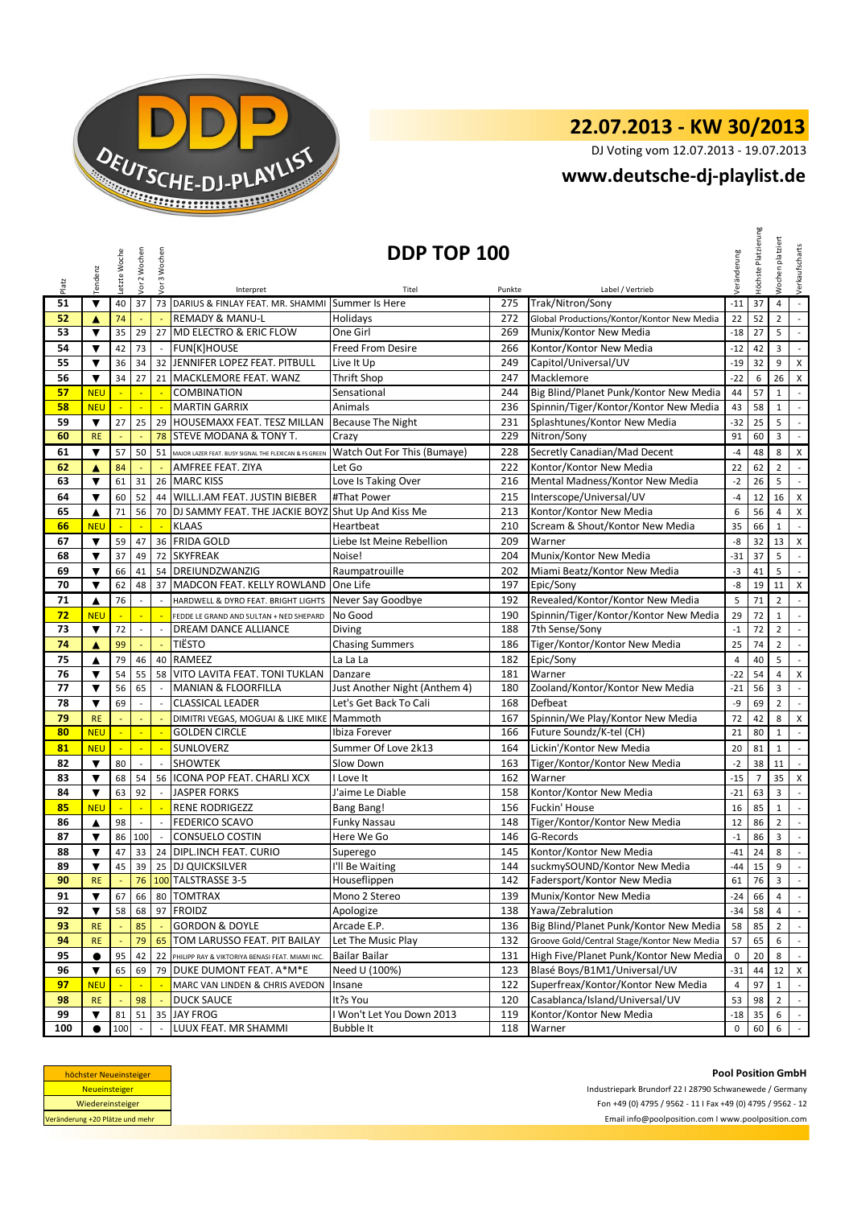

DJ Voting vom 12.07.2013 - 19.07.2013

### **www.deutsche-dj-playlist.de**

|          |                                              | Letzte Woche | Vor 2 Wochen               | Vor 3 Wochen  | DDP TOP 100                                                        |                                          |            |                                                         | Veränderung          | Platzierung    | Wochen platziert               | Verkaufscharts                        |
|----------|----------------------------------------------|--------------|----------------------------|---------------|--------------------------------------------------------------------|------------------------------------------|------------|---------------------------------------------------------|----------------------|----------------|--------------------------------|---------------------------------------|
| Platz    | Tendenz                                      |              |                            |               | Interpret                                                          | Titel                                    | Punkte     | Label / Vertrieb                                        |                      | Höchste        |                                |                                       |
| 51       | $\blacktriangledown$                         | 40           | 37                         |               | 73 DARIUS & FINLAY FEAT. MR. SHAMMI Summer Is Here                 |                                          | 275        | Trak/Nitron/Sony                                        | $-11$                | 37             | $\overline{4}$                 | $\omega_{\rm c}$                      |
| 52       | A                                            | 74           |                            |               | <b>REMADY &amp; MANU-L</b>                                         | Holidays                                 | 272        | Global Productions/Kontor/Kontor New Media              | 22                   | 52             | $\overline{2}$                 | $\mathbb{Z}^2$                        |
| 53       | ▼                                            | 35           | 29                         | 27            | MD ELECTRO & ERIC FLOW                                             | One Girl                                 | 269        | Munix/Kontor New Media                                  | $-18$                | 27             | 5                              | $\sim$                                |
| 54       | $\blacktriangledown$                         | 42           | 73                         | $\sim$        | <b>FUN[K]HOUSE</b>                                                 | <b>Freed From Desire</b>                 | 266        | Kontor/Kontor New Media                                 | $-12$                | 42             | 3                              | $\mathbb{Z}^{\mathbb{Z}}$             |
| 55       | $\blacktriangledown$                         | 36           | 34                         |               | 32 JENNIFER LOPEZ FEAT. PITBULL                                    | Live It Up                               | 249        | Capitol/Universal/UV                                    | $-19$                | 32             | 9                              | X                                     |
| 56       | $\blacktriangledown$                         | 34           | 27                         |               | 21 MACKLEMORE FEAT. WANZ                                           | Thrift Shop                              | 247        | Macklemore                                              | $-22$                | 6              | 26                             | X                                     |
| 57       | <b>NEU</b>                                   |              |                            |               | <b>COMBINATION</b>                                                 | Sensational                              | 244        | Big Blind/Planet Punk/Kontor New Media                  | 44                   | 57             | $\mathbf{1}$                   | $\mathbb{Z}^2$                        |
| 58       | <b>NEU</b>                                   |              | $\equiv$                   |               | <b>MARTIN GARRIX</b>                                               | Animals                                  | 236        | Spinnin/Tiger/Kontor/Kontor New Media                   | 43                   | 58             | $\mathbf{1}$                   | $\omega_{\rm c}$                      |
| 59       | $\blacktriangledown$                         | 27           | 25                         |               | 29 HOUSEMAXX FEAT. TESZ MILLAN                                     | <b>Because The Night</b>                 | 231        | Splashtunes/Kontor New Media                            | $-32$                | 25             | 5                              | $\mathbb{R}^2$                        |
| 60       | <b>RE</b>                                    |              |                            | 78            | STEVE MODANA & TONY T.                                             | Crazy                                    | 229        | Nitron/Sony                                             | 91                   | 60             | 3                              | $\sim$                                |
| 61       | $\blacktriangledown$                         | 57           | 50                         | 51            | MAJOR LAZER FEAT. BUSY SIGNAL THE FLEXICAN & FS GREEN              | Watch Out For This (Bumaye)              | 228        | Secretly Canadian/Mad Decent                            | $-4$                 | 48             | 8                              | X                                     |
| 62       | ▲                                            | 84           |                            |               | AMFREE FEAT. ZIYA                                                  | Let Go                                   | 222        | Kontor/Kontor New Media                                 | 22                   | 62             | $\overline{2}$                 | $\omega_{\rm c}$                      |
| 63       | $\blacktriangledown$                         | 61           | 31                         |               | 26 MARC KISS                                                       | Love Is Taking Over                      | 216        | Mental Madness/Kontor New Media                         | $-2$                 | 26             | 5                              | $\mathbb{Z}^{\mathbb{Z}}$             |
| 64       | $\blacktriangledown$                         | 60           | 52                         |               | 44 WILL.I.AM FEAT. JUSTIN BIEBER                                   | #That Power                              | 215        | Interscope/Universal/UV                                 | $-4$                 | 12             | 16                             | X                                     |
| 65       | ▲                                            | 71           | 56                         |               | 70 DJ SAMMY FEAT. THE JACKIE BOYZ Shut Up And Kiss Me              |                                          | 213        | Kontor/Kontor New Media                                 | 6                    | 56             | $\overline{4}$                 | X                                     |
| 66       | <b>NEU</b>                                   |              |                            | ×.            | <b>KLAAS</b>                                                       | Heartbeat                                | 210        | Scream & Shout/Kontor New Media                         | 35                   | 66             | $\mathbf{1}$                   | $\overline{\phantom{a}}$              |
| 67       | $\blacktriangledown$                         | 59           | 47                         |               | 36 FRIDA GOLD                                                      | Liebe Ist Meine Rebellion                | 209        | Warner                                                  | -8                   | 32             | 13                             | X                                     |
| 68       | $\blacktriangledown$                         | 37           | 49                         |               | 72 SKYFREAK                                                        | Noise!                                   | 204        | Munix/Kontor New Media                                  | $-31$                | 37             | 5 <sup>5</sup>                 | $\mathbb{R}^2$                        |
| 69       | $\blacktriangledown$<br>$\blacktriangledown$ | 66           | 41                         | 54            | DREIUNDZWANZIG<br>MADCON FEAT. KELLY ROWLAND                       | Raumpatrouille                           | 202        | Miami Beatz/Kontor New Media                            | $-3$<br>$-8$         | 41             | 5<br>11                        | $\omega_{\rm c}$                      |
| 70       |                                              | 62           | 48                         | 37            |                                                                    | One Life                                 | 197        | Epic/Sony                                               |                      | 19             |                                | X                                     |
| 71       | ▲                                            | 76           |                            |               | HARDWELL & DYRO FEAT. BRIGHT LIGHTS                                | Never Say Goodbye                        | 192        | Revealed/Kontor/Kontor New Media                        | 5                    | 71             | $\overline{2}$                 | $\mathbb{R}^2$<br>$\mathcal{L}^{\pm}$ |
| 72<br>73 | <b>NEU</b><br>▼                              | ц,<br>72     | u,                         | ÷.            | FEDDE LE GRAND AND SULTAN + NED SHEPARD<br>DREAM DANCE ALLIANCE    | No Good                                  | 190<br>188 | Spinnin/Tiger/Kontor/Kontor New Media<br>7th Sense/Sony | 29<br>$-1$           | 72<br>72       | $\mathbf{1}$<br>$\overline{2}$ | $\sim$                                |
|          |                                              |              |                            |               |                                                                    | Diving                                   |            |                                                         |                      |                |                                |                                       |
| 74<br>75 | ▲                                            | 99           | 46                         | G.            | <b>TIËSTO</b><br>40 RAMEEZ                                         | <b>Chasing Summers</b>                   | 186<br>182 | Tiger/Kontor/Kontor New Media                           | 25<br>$\overline{4}$ | 74<br>40       | $\overline{2}$<br>5            | $\sim$<br>$\mathbb{Z}^{\mathbb{Z}}$   |
| 76       | ▲<br>$\blacktriangledown$                    | 79<br>54     | 55                         |               |                                                                    | La La La                                 | 181        | Epic/Sony<br>Warner                                     | $-22$                | 54             | $\overline{4}$                 |                                       |
| 77       | $\blacktriangledown$                         | 56           | 65                         | $\sim$        | 58 VITO LAVITA FEAT. TONI TUKLAN<br><b>MANIAN &amp; FLOORFILLA</b> | Danzare<br>Just Another Night (Anthem 4) | 180        | Zooland/Kontor/Kontor New Media                         | $-21$                | 56             | $\overline{\mathbf{3}}$        | X<br>$\mathbb{Z}^2$                   |
| 78       | $\overline{\mathbf{v}}$                      | 69           |                            |               | <b>CLASSICAL LEADER</b>                                            | Let's Get Back To Cali                   | 168        | Defbeat                                                 | -9                   | 69             | $\overline{2}$                 | $\mathbb{Z}^{\mathbb{Z}}$             |
| 79       | <b>RE</b>                                    |              | $\Box$                     | ÷.            | DIMITRI VEGAS, MOGUAI & LIKE MIKE                                  | Mammoth                                  | 167        | Spinnin/We Play/Kontor New Media                        | 72                   | 42             | 8                              | $\pmb{\mathsf{X}}$                    |
| 80       | <b>NEU</b>                                   | $\mathbb{Z}$ | $\mathcal{L}_{\mathbf{r}}$ |               | <b>GOLDEN CIRCLE</b>                                               | Ibiza Forever                            | 166        | Future Soundz/K-tel (CH)                                | 21                   | 80             | $\mathbf{1}$                   | $\sim$                                |
| 81       | <b>NEU</b>                                   | ×.           | ×.                         | ч.            | <b>SUNLOVERZ</b>                                                   | Summer Of Love 2k13                      | 164        | Lickin'/Kontor New Media                                | 20                   | 81             | $\mathbf{1}$                   | $\sim$                                |
| 82       | $\blacktriangledown$                         | 80           |                            |               | <b>SHOWTEK</b>                                                     | Slow Down                                | 163        | Tiger/Kontor/Kontor New Media                           | $-2$                 | 38             | 11                             | $\sim$                                |
| 83       | $\blacktriangledown$                         | 68           | 54                         | 56            | ICONA POP FEAT. CHARLI XCX                                         | I Love It                                | 162        | Warner                                                  | $-15$                | $\overline{7}$ | 35                             | X                                     |
| 84       | $\blacktriangledown$                         | 63           | 92                         |               | <b>JASPER FORKS</b>                                                | J'aime Le Diable                         | 158        | Kontor/Kontor New Media                                 | $-21$                | 63             | 3                              | $\mathcal{L}$                         |
| 85       | <b>NEU</b>                                   |              |                            |               | <b>RENE RODRIGEZZ</b>                                              | <b>Bang Bang!</b>                        | 156        | Fuckin' House                                           | 16                   | 85             | $\mathbf{1}$                   | $\mathbb{Z}^{\mathbb{Z}}$             |
| 86       | ▲                                            | 98           | $\sim$                     | $\sim$        | <b>FEDERICO SCAVO</b>                                              | <b>Funky Nassau</b>                      | 148        | Tiger/Kontor/Kontor New Media                           | 12                   | 86             | $\overline{2}$                 | $\mathcal{L}^{\mathcal{L}}$           |
| 87       | $\blacktriangledown$                         | 86           | 100                        | $\sim$        | <b>CONSUELO COSTIN</b>                                             | Here We Go                               | 146        | G-Records                                               | $-1$                 | 86             | 3                              | $\omega_{\rm c}$                      |
| 88       | $\blacktriangledown$                         | 47           | 33                         |               | 24 DIPL.INCH FEAT. CURIO                                           | Superego                                 | 145        | Kontor/Kontor New Media                                 | $-41$                | 24             | 8                              | $\sim$                                |
| 89       | $\blacktriangledown$                         |              |                            |               | 45 39 25 DJ QUICKSILVER                                            | I'll Be Waiting                          |            | 144 suckmySOUND/Kontor New Media                        |                      | $-44$ 15       | 9                              |                                       |
| 90       | <b>RE</b>                                    |              | 76                         |               | 100 TALSTRASSE 3-5                                                 | Houseflippen                             | 142        | Fadersport/Kontor New Media                             | 61                   | 76             | 3                              | $\sim$                                |
| 91       | ▼                                            | 67           | 66                         |               | 80 TOMTRAX                                                         | Mono 2 Stereo                            | 139        | Munix/Kontor New Media                                  | -24                  | 66             | 4                              |                                       |
| 92       | $\blacktriangledown$                         | 58           | 68                         |               | 97 FROIDZ                                                          | Apologize                                | 138        | Yawa/Zebralution                                        | -34                  | 58             | $\overline{4}$                 | $\omega$                              |
| 93       | <b>RE</b>                                    |              | 85                         |               | <b>GORDON &amp; DOYLE</b>                                          | Arcade E.P.                              | 136        | Big Blind/Planet Punk/Kontor New Media                  | 58                   | 85             | $\overline{2}$                 | $\mathbb{Z}^2$                        |
| 94       | <b>RE</b>                                    |              | 79                         | 65            | TOM LARUSSO FEAT. PIT BAILAY                                       | Let The Music Play                       | 132        | Groove Gold/Central Stage/Kontor New Media              | 57                   | 65             | 6                              | $\omega_{\rm c}$                      |
| 95       | $\bullet$                                    | 95           | 42                         | 22            | PHILIPP RAY & VIKTORIYA BENASI FEAT. MIAMI INC.                    | Bailar Bailar                            | 131        | High Five/Planet Punk/Kontor New Media                  | 0                    | 20             | 8                              | $\mathbb{L}$                          |
| 96       | $\blacktriangledown$                         | 65           | 69                         |               | 79 DUKE DUMONT FEAT. A*M*E                                         | Need U (100%)                            | 123        | Blasé Boys/B1M1/Universal/UV                            | $-31$                | 44             | 12                             | $\pmb{\mathsf{X}}$                    |
| 97       | <b>NEU</b>                                   |              |                            |               | MARC VAN LINDEN & CHRIS AVEDON                                     | Insane                                   | 122        | Superfreax/Kontor/Kontor New Media                      | 4                    | 97             | $\mathbf{1}$                   | $\mathcal{L}^{\pm}$                   |
| 98       | <b>RE</b>                                    |              | 98                         |               | <b>DUCK SAUCE</b>                                                  | It?s You                                 | 120        | Casablanca/Island/Universal/UV                          | 53                   | 98             | $\overline{2}$                 | $\sim$                                |
| 99       | ▼                                            | 81           | 51                         |               | 35 JAY FROG                                                        | I Won't Let You Down 2013                | 119        | Kontor/Kontor New Media                                 | -18                  | 35             | 6                              | $\sim$                                |
| 100      | $\bullet$                                    | 100          |                            | $\mathcal{L}$ | LUUX FEAT. MR SHAMMI                                               | <b>Bubble It</b>                         | 118        | Warner                                                  | $\mathbf{0}$         | 60             | $6\overline{6}$                | $\sim$                                |

| höchster Neueinsteiger          |  |  |  |  |  |
|---------------------------------|--|--|--|--|--|
| <b>Neueinsteiger</b>            |  |  |  |  |  |
| Wiedereinsteiger                |  |  |  |  |  |
| Veränderung +20 Plätze und mehr |  |  |  |  |  |

**Pool Position GmbH**

Email info@poolposition.com I www.poolposition.com Industriepark Brundorf 22 I 28790 Schwanewede / Germany Fon +49 (0) 4795 / 9562 - 11 I Fax +49 (0) 4795 / 9562 - 12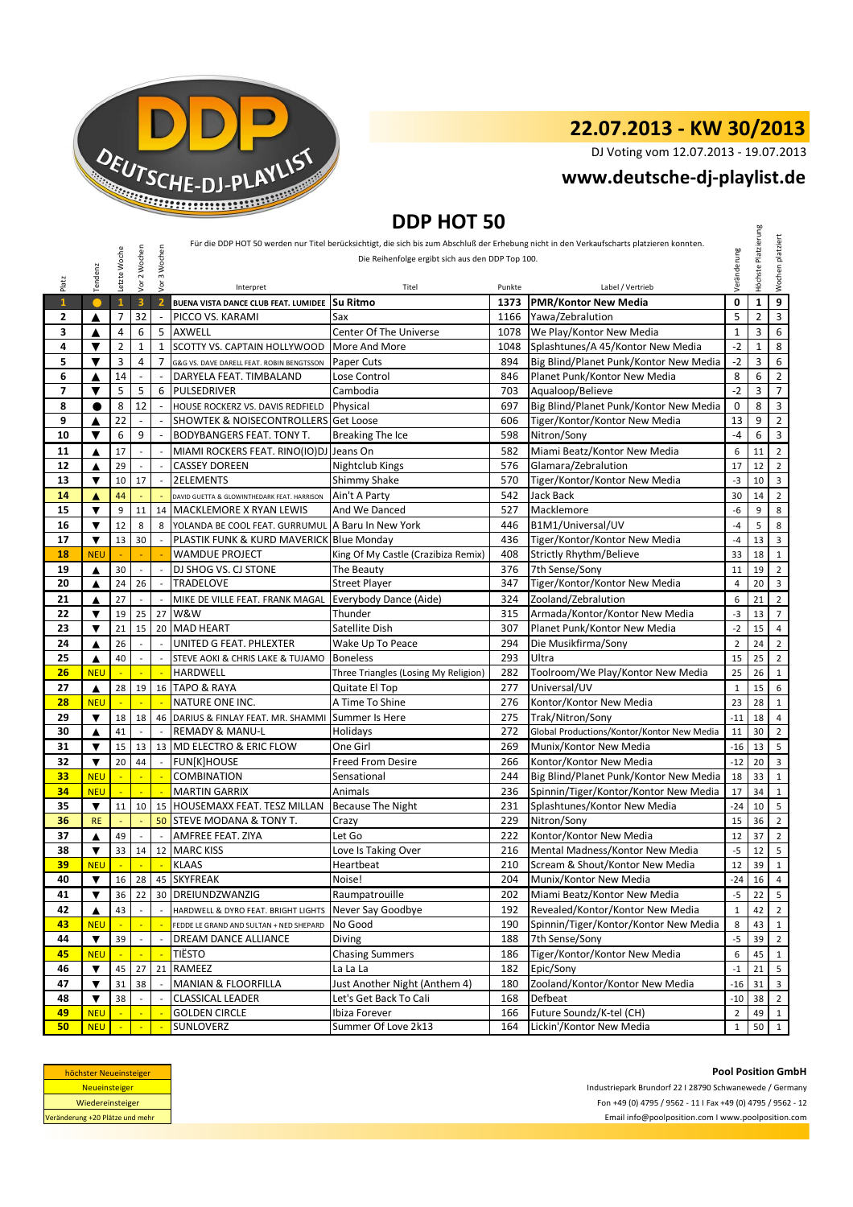

DJ Voting vom 12.07.2013 - 19.07.2013

### **www.deutsche-dj-playlist.de**

## **DDP HOT 50**

|                          |                                    |                |                          |                             |                                                   | Die Reihenfolge ergibt sich aus den DDP Top 100. |      | Für die DDP HOT 50 werden nur Titel berücksichtigt, die sich bis zum Abschluß der Erhebung nicht in den Verkaufscharts platzieren konnten. |                | Platzierung           | platziert                        |
|--------------------------|------------------------------------|----------------|--------------------------|-----------------------------|---------------------------------------------------|--------------------------------------------------|------|--------------------------------------------------------------------------------------------------------------------------------------------|----------------|-----------------------|----------------------------------|
| Platz                    | Tendenz                            | Letzte Woche   | Vor 2 Wochen             | Vor 3 Wochen                | Interpret                                         | Titel<br>Punkte                                  |      | Label / Vertrieb                                                                                                                           | Veränderung    | Höchste               | Wochen                           |
| $\mathbf{1}$             |                                    | $\mathbf{1}$   | $\overline{\mathbf{3}}$  | $\overline{2}$              | BUENA VISTA DANCE CLUB FEAT. LUMIDEE              | <b>Su Ritmo</b>                                  | 1373 | <b>PMR/Kontor New Media</b>                                                                                                                | 0              | $\mathbf 1$           | 9                                |
| 2                        | ▲                                  | 7              | 32                       | $\overline{\phantom{a}}$    | PICCO VS. KARAMI                                  | Sax                                              | 1166 | Yawa/Zebralution                                                                                                                           | 5              | $\overline{2}$        | 3                                |
| 3                        | ▲                                  | 4              | 6                        | 5                           | AXWELL                                            | <b>Center Of The Universe</b>                    | 1078 | We Play/Kontor New Media                                                                                                                   | $\mathbf 1$    | 3                     | 6                                |
| 4                        | $\blacktriangledown$               | $\overline{2}$ | $\mathbf{1}$             | $\mathbf{1}$                | SCOTTY VS. CAPTAIN HOLLYWOOD                      | More And More                                    | 1048 | Splashtunes/A 45/Kontor New Media                                                                                                          | $-2$           | $\mathbf{1}$          | 8                                |
| 5                        | $\overline{\textbf{v}}$            | 3              | 4                        | $\overline{7}$              | G&G VS. DAVE DARELL FEAT. ROBIN BENGTSSON         | Paper Cuts                                       | 894  | Big Blind/Planet Punk/Kontor New Media                                                                                                     | $-2$           | 3                     |                                  |
| 6                        | ▲                                  | 14             |                          |                             | DARYELA FEAT. TIMBALAND                           | Lose Control                                     | 846  | Planet Punk/Kontor New Media                                                                                                               | 8              | 6                     | $\overline{2}$                   |
| $\overline{\phantom{a}}$ | ▼                                  | 5              | 5                        | 6                           | <b>PULSEDRIVER</b>                                | Cambodia                                         | 703  | Aqualoop/Believe                                                                                                                           | $-2$           | 3                     | $\overline{7}$                   |
| 8                        | $\bullet$                          | 8              | 12                       | $\overline{\phantom{a}}$    | HOUSE ROCKERZ VS. DAVIS REDFIELD                  | Physical                                         | 697  | Big Blind/Planet Punk/Kontor New Media                                                                                                     | 0              | 8                     | 3                                |
| 9                        | ▲                                  | 22             |                          |                             | SHOWTEK & NOISECONTROLLERS Get Loose              |                                                  | 606  | Tiger/Kontor/Kontor New Media                                                                                                              | 13             | 9                     | $\overline{2}$                   |
| 10                       | $\overline{\textbf{v}}$            | 6              | 9                        |                             | BODYBANGERS FEAT. TONY T.                         | Breaking The Ice                                 | 598  | Nitron/Sony                                                                                                                                | -4             | 6                     | 3                                |
| 11                       | ▲                                  | 17             | ÷,                       |                             | MIAMI ROCKERS FEAT. RINO(IO)DJ                    | Jeans On                                         | 582  | Miami Beatz/Kontor New Media                                                                                                               | 6              | 11                    | $\overline{2}$                   |
| 12                       | ▲                                  | 29             |                          |                             | <b>CASSEY DOREEN</b>                              | Nightclub Kings                                  | 576  | Glamara/Zebralution                                                                                                                        | 17             | 12                    | $\overline{2}$                   |
| 13                       | ▼                                  | 10             | 17                       | $\overline{\phantom{a}}$    | 2ELEMENTS                                         | Shimmy Shake                                     | 570  | Tiger/Kontor/Kontor New Media                                                                                                              | -3             | 10                    | 3                                |
| 14                       | ▲                                  | 44             |                          |                             | DAVID GUETTA & GLOWINTHEDARK FEAT. HARRISON       | Ain't A Party                                    | 542  | Jack Back                                                                                                                                  | 30             | 14                    |                                  |
| 15                       | $\blacktriangledown$               | 9              | 11                       | 14                          | <b>MACKLEMORE X RYAN LEWIS</b>                    | And We Danced                                    | 527  | Macklemore                                                                                                                                 | -6             | 9                     |                                  |
| 16                       | $\overline{\textbf{v}}$            | 12             | 8                        | 8                           | YOLANDA BE COOL FEAT. GURRUMUL A Baru In New York |                                                  | 446  | B1M1/Universal/UV                                                                                                                          | $-4$           | 5                     |                                  |
| 17                       | ▼                                  | 13             | 30                       |                             | PLASTIK FUNK & KURD MAVERICK Blue Monday          |                                                  | 436  | Tiger/Kontor/Kontor New Media                                                                                                              | $-4$           | 13                    |                                  |
| 18                       | <b>NEU</b>                         |                |                          |                             | WAMDUE PROJECT                                    | King Of My Castle (Crazibiza Remix)              | 408  | <b>Strictly Rhythm/Believe</b>                                                                                                             | 33             | 18                    | $\mathbf{1}$                     |
| 19                       | ▲                                  | 30             | $\overline{a}$           |                             | DJ SHOG VS. CJ STONE                              | The Beauty                                       | 376  | 7th Sense/Sony                                                                                                                             | 11             | 19                    |                                  |
| 20                       | ▲                                  | 24             | 26                       | $\overline{\phantom{a}}$    | <b>TRADELOVE</b>                                  | <b>Street Player</b>                             | 347  | Tiger/Kontor/Kontor New Media                                                                                                              | $\overline{4}$ | 20                    | $\overline{2}$<br>3              |
| 21                       | ▲                                  | 27             |                          |                             | MIKE DE VILLE FEAT. FRANK MAGAL                   | Everybody Dance (Aide)                           | 324  | Zooland/Zebralution                                                                                                                        | 6              | 21                    | $\overline{2}$                   |
| 22                       | $\blacktriangledown$               | 19             | 25                       | 27                          | W&W                                               | Thunder                                          | 315  | Armada/Kontor/Kontor New Media                                                                                                             | $-3$           | 13                    | $\overline{7}$                   |
| 23                       | $\blacktriangledown$               | 21             | 15                       |                             | 20 MAD HEART                                      | Satellite Dish                                   | 307  | Planet Punk/Kontor New Media                                                                                                               | $-2$           | 15                    |                                  |
| 24                       | ▲                                  | 26             |                          | $\overline{a}$              | UNITED G FEAT. PHLEXTER                           | Wake Up To Peace                                 | 294  | Die Musikfirma/Sony                                                                                                                        | $\overline{2}$ | 24                    |                                  |
| 25                       | ▲                                  | 40             |                          |                             | STEVE AOKI & CHRIS LAKE & TUJAMO                  | <b>Boneless</b>                                  | 293  | Ultra                                                                                                                                      | 15             | 25                    |                                  |
| 26                       | <b>NEU</b>                         | $\mathbb{Z}$   | $\mathbb{Z}$             | $\mathcal{L}_{\mathbf{r}}$  | HARDWELL                                          | Three Triangles (Losing My Religion)             | 282  | Toolroom/We Play/Kontor New Media                                                                                                          | 25             | 26                    | $\mathbf{1}$                     |
| 27                       | ▲                                  | 28             | 19                       |                             | 16 TAPO & RAYA                                    | Quitate El Top                                   | 277  | Universal/UV                                                                                                                               | $\mathbf{1}$   | 15                    |                                  |
| 28                       | <b>NEU</b>                         |                |                          |                             | NATURE ONE INC.                                   | A Time To Shine                                  | 276  | Kontor/Kontor New Media                                                                                                                    | 23             | 28                    |                                  |
| 29                       | ▼                                  | 18             | 18                       |                             | 46 DARIUS & FINLAY FEAT. MR. SHAMMI               | Summer Is Here                                   | 275  | Trak/Nitron/Sony                                                                                                                           | $-11$          | 18                    |                                  |
| 30                       | ▲                                  | 41             |                          |                             | <b>REMADY &amp; MANU-L</b>                        | Holidays                                         | 272  | Global Productions/Kontor/Kontor New Media                                                                                                 | 11             | 30                    | $\overline{4}$<br>$\overline{2}$ |
| 31                       | $\blacktriangledown$               | 15             | 13                       |                             | 13   MD ELECTRO & ERIC FLOW                       | One Girl                                         | 269  | Munix/Kontor New Media                                                                                                                     | $-16$          | 13                    |                                  |
| 32                       | $\overline{\mathbf{v}}$            | 20             | 44                       |                             | <b>FUN[K]HOUSE</b>                                | <b>Freed From Desire</b>                         | 266  | Kontor/Kontor New Media                                                                                                                    | $-12$          | 20                    |                                  |
| 33                       | <b>NEU</b>                         | $\blacksquare$ | ÷,                       | ч.                          | <b>COMBINATION</b>                                | Sensational                                      | 244  | Big Blind/Planet Punk/Kontor New Media                                                                                                     | 18             | 33                    |                                  |
| 34                       | <b>NEU</b>                         |                |                          |                             | <b>MARTIN GARRIX</b>                              | Animals                                          | 236  | Spinnin/Tiger/Kontor/Kontor New Media                                                                                                      | 17             | 34                    |                                  |
| 35                       | $\blacktriangledown$               | 11             | 10                       |                             | 15 HOUSEMAXX FEAT. TESZ MILLAN                    | <b>Because The Night</b>                         | 231  | Splashtunes/Kontor New Media                                                                                                               | $-24$          | 10                    |                                  |
| 36                       | <b>RE</b>                          |                |                          | 50                          | <b>STEVE MODANA &amp; TONY T.</b>                 | Crazy                                            | 229  | Nitron/Sony                                                                                                                                | 15             | 36                    |                                  |
| 37                       | ▲                                  | 49             |                          | $\mathcal{L}_{\mathcal{A}}$ | AMFREE FEAT. ZIYA                                 | Let Go                                           | 222  | Kontor/Kontor New Media                                                                                                                    | 12             | 37                    | $\overline{2}$<br>$\overline{2}$ |
| 38                       | $\blacktriangledown$               | 33             | 14                       |                             | 12 MARC KISS                                      | Love Is Taking Over                              | 216  | Mental Madness/Kontor New Media                                                                                                            | $-5$           | 12                    | 5                                |
| 39                       | <b>NEU</b>                         |                |                          |                             | - KLAAS                                           | Heartbeat                                        | 210  | Scream & Shout/Kontor New Media                                                                                                            |                | $12 \quad 39 \quad 1$ |                                  |
| 40                       | ▼                                  | $\sim$         | $\sim$ $ \sim$<br>16 28  |                             | 45 SKYFREAK                                       | Noise!                                           | 204  | Munix/Kontor New Media                                                                                                                     | -24            | 16                    | $\overline{4}$                   |
| 41                       | ▼                                  | 36             | 22                       |                             | 30 DREIUNDZWANZIG                                 | Raumpatrouille                                   | 202  | Miami Beatz/Kontor New Media                                                                                                               | $-5$           | 22                    |                                  |
|                          |                                    |                |                          |                             |                                                   |                                                  | 192  | Revealed/Kontor/Kontor New Media                                                                                                           |                |                       |                                  |
| 42                       | ▲                                  | 43             |                          |                             | HARDWELL & DYRO FEAT. BRIGHT LIGHTS               | Never Say Goodbye                                |      | Spinnin/Tiger/Kontor/Kontor New Media                                                                                                      | $\mathbf{1}$   | 42                    |                                  |
| 43<br>44                 | <b>NEU</b><br>$\blacktriangledown$ |                |                          |                             | FEDDE LE GRAND AND SULTAN + NED SHEPARD           | No Good                                          | 190  |                                                                                                                                            | 8              | 43                    | $\mathbf{1}$                     |
|                          |                                    | 39             | $\overline{\phantom{a}}$ |                             | DREAM DANCE ALLIANCE                              | <b>Diving</b>                                    | 188  | 7th Sense/Sony                                                                                                                             | $-5$           | 39                    |                                  |
| 45                       | <b>NEU</b>                         |                |                          |                             | <b>TIËSTO</b>                                     | <b>Chasing Summers</b>                           | 186  | Tiger/Kontor/Kontor New Media                                                                                                              | 6              | 45                    |                                  |
| 46                       | $\blacktriangledown$               | 45             | 27                       | 21                          | RAMEEZ                                            | La La La                                         | 182  | Epic/Sony                                                                                                                                  | $-1$           | 21                    |                                  |
| 47                       | ▼                                  | 31             | 38                       |                             | <b>MANIAN &amp; FLOORFILLA</b>                    | Just Another Night (Anthem 4)                    | 180  | Zooland/Kontor/Kontor New Media                                                                                                            | $-16$          | 31                    |                                  |
| 48                       | $\blacktriangledown$               | 38             |                          |                             | CLASSICAL LEADER                                  | Let's Get Back To Cali                           | 168  | Defbeat                                                                                                                                    | $-10$          | 38                    |                                  |
| 49                       | <b>NEU</b>                         |                |                          |                             | <b>GOLDEN CIRCLE</b>                              | Ibiza Forever                                    | 166  | Future Soundz/K-tel (CH)                                                                                                                   | $\overline{2}$ | 49                    |                                  |
| 50                       | <b>NEU</b>                         |                |                          |                             | SUNLOVERZ                                         | Summer Of Love 2k13                              | 164  | Lickin'/Kontor New Media                                                                                                                   | $\mathbf{1}$   | 50                    | 1                                |

| höchster Neueinsteiger          |  |  |  |  |  |  |
|---------------------------------|--|--|--|--|--|--|
| <b>Neueinsteiger</b>            |  |  |  |  |  |  |
| Wiedereinsteiger                |  |  |  |  |  |  |
| Veränderung +20 Plätze und mehr |  |  |  |  |  |  |

**Pool Position GmbH** Industriepark Brundorf 22 I 28790 Schwanewede / Germany Fon +49 (0) 4795 / 9562 - 11 I Fax +49 (0) 4795 / 9562 - 12 Email info@poolposition.com I www.poolposition.com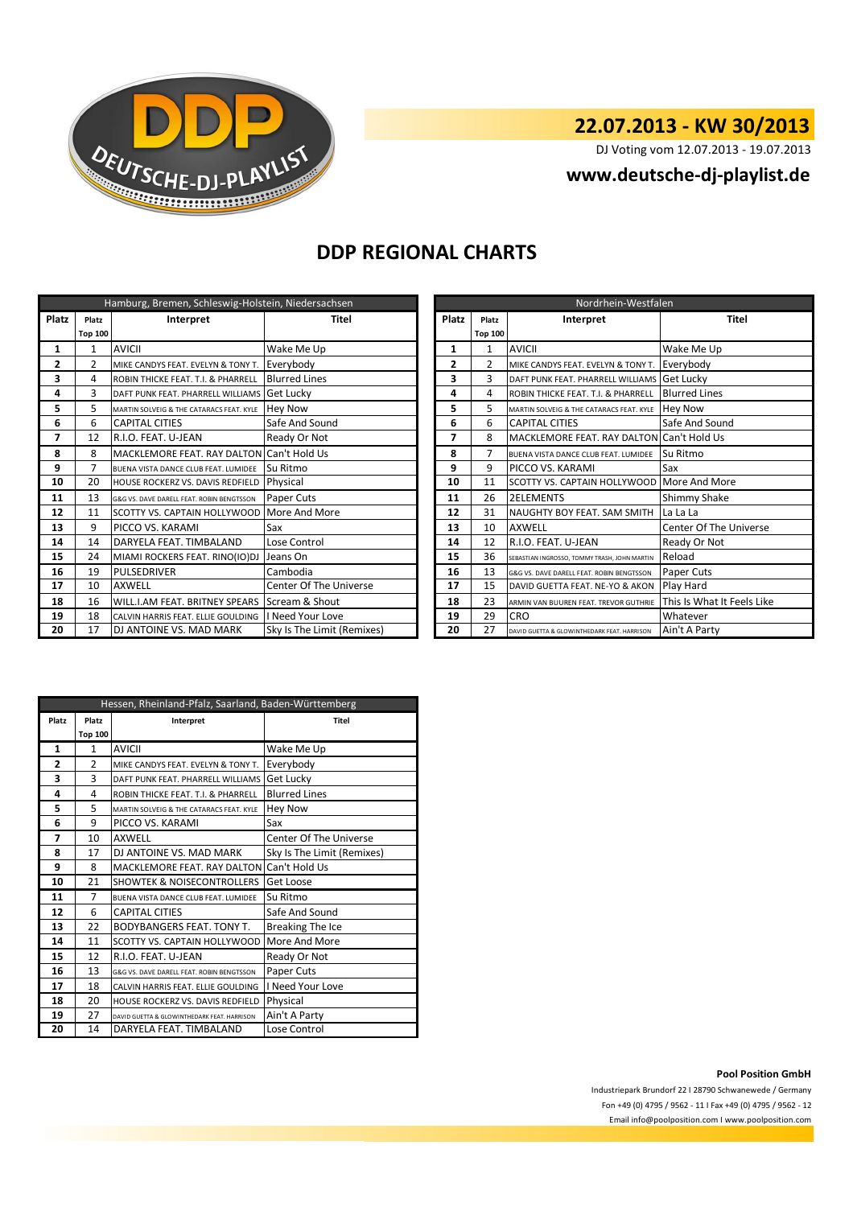

DJ Voting vom 12.07.2013 - 19.07.2013

#### **www.deutsche-dj-playlist.de**

## **DDP REGIONAL CHARTS**

|       |                | Hamburg, Bremen, Schleswig-Holstein, Niedersachsen |                               |                | Nordrhein-Westfalen |                                              |                               |  |  |  |  |
|-------|----------------|----------------------------------------------------|-------------------------------|----------------|---------------------|----------------------------------------------|-------------------------------|--|--|--|--|
| Platz | Platz          | Interpret                                          | <b>Titel</b>                  | Platz          | Platz               | Interpret                                    | <b>Titel</b>                  |  |  |  |  |
|       | <b>Top 100</b> |                                                    |                               |                | <b>Top 100</b>      |                                              |                               |  |  |  |  |
| 1     | 1              | <b>AVICII</b>                                      | Wake Me Up                    | 1              | 1                   | <b>AVICII</b>                                | Wake Me Up                    |  |  |  |  |
| 2     | 2              | MIKE CANDYS FEAT. EVELYN & TONY T.                 | Everybody                     | $\overline{2}$ | $\overline{2}$      | MIKE CANDYS FEAT. EVELYN & TONY T.           | Everybody                     |  |  |  |  |
| 3     | 4              | ROBIN THICKE FEAT. T.I. & PHARRELL                 | <b>Blurred Lines</b>          | 3              | 3                   | DAFT PUNK FEAT. PHARRELL WILLIAMS Get Lucky  |                               |  |  |  |  |
| 4     | 3              | DAFT PUNK FEAT. PHARRELL WILLIAMS Get Lucky        |                               | 4              | 4                   | ROBIN THICKE FEAT. T.I. & PHARRELL           | <b>Blurred Lines</b>          |  |  |  |  |
| 5     | 5              | MARTIN SOLVEIG & THE CATARACS FEAT. KYLE           | <b>Hey Now</b>                | 5              | 5                   | MARTIN SOLVEIG & THE CATARACS FEAT. KYLE     | <b>Hey Now</b>                |  |  |  |  |
| 6     | 6              | <b>CAPITAL CITIES</b>                              | Safe And Sound                | 6              | 6                   | <b>CAPITAL CITIES</b>                        | Safe And Sound                |  |  |  |  |
| 7     | 12             | R.I.O. FEAT. U-JEAN                                | Ready Or Not                  | 7              | 8                   | MACKLEMORE FEAT. RAY DALTON Can't Hold Us    |                               |  |  |  |  |
| 8     | 8              | MACKLEMORE FEAT. RAY DALTON Can't Hold Us          |                               | 8              | $\overline{7}$      | BUENA VISTA DANCE CLUB FEAT. LUMIDEE         | Su Ritmo                      |  |  |  |  |
| 9     |                | BUENA VISTA DANCE CLUB FEAT. LUMIDEE               | Su Ritmo                      | 9              | 9                   | <b>PICCO VS. KARAMI</b>                      | Sax                           |  |  |  |  |
| 10    | 20             | HOUSE ROCKERZ VS. DAVIS REDFIELD                   | Physical                      | 10             | 11                  | SCOTTY VS. CAPTAIN HOLLYWOOD More And More   |                               |  |  |  |  |
| 11    | 13             | G&G VS. DAVE DARELL FEAT. ROBIN BENGTSSON          | Paper Cuts                    | 11             | 26                  | <b>2ELEMENTS</b>                             | Shimmy Shake                  |  |  |  |  |
| 12    | 11             | <b>SCOTTY VS. CAPTAIN HOLLYWOOD</b>                | More And More                 | 12             | 31                  | NAUGHTY BOY FEAT. SAM SMITH                  | La La La                      |  |  |  |  |
| 13    | 9              | PICCO VS. KARAMI                                   | Sax                           | 13             | 10                  | <b>AXWELL</b>                                | <b>Center Of The Universe</b> |  |  |  |  |
| 14    | 14             | DARYELA FEAT. TIMBALAND                            | Lose Control                  | 14             | 12                  | R.I.O. FEAT. U-JEAN                          | Ready Or Not                  |  |  |  |  |
| 15    | 24             | MIAMI ROCKERS FEAT. RINO(IO)DJ                     | Jeans On                      | 15             | 36                  | SEBASTIAN INGROSSO, TOMMY TRASH, JOHN MARTIN | Reload                        |  |  |  |  |
| 16    | 19             | <b>PULSEDRIVER</b>                                 | Cambodia                      | 16             | 13                  | G&G VS. DAVE DARELL FEAT. ROBIN BENGTSSON    | Paper Cuts                    |  |  |  |  |
| 17    | 10             | <b>AXWELL</b>                                      | <b>Center Of The Universe</b> | 17             | 15                  | DAVID GUETTA FEAT. NE-YO & AKON              | Play Hard                     |  |  |  |  |
| 18    | 16             | WILL.I.AM FEAT. BRITNEY SPEARS                     | Scream & Shout                | 18             | 23                  | ARMIN VAN BUUREN FEAT. TREVOR GUTHRIE        | This Is What It Feels Like    |  |  |  |  |
| 19    | 18             | CALVIN HARRIS FEAT. ELLIE GOULDING                 | I Need Your Love              | 19             | 29                  | <b>CRO</b>                                   | Whatever                      |  |  |  |  |
| 20    | 17             | DJ ANTOINE VS. MAD MARK                            | Sky Is The Limit (Remixes)    | 20             | 27                  | DAVID GUETTA & GLOWINTHEDARK FEAT. HARRISON  | Ain't A Party                 |  |  |  |  |

|                | Nordrhein-Westfalen |                                              |                            |  |  |  |  |  |
|----------------|---------------------|----------------------------------------------|----------------------------|--|--|--|--|--|
| Platz          | Platz               | Interpret                                    | Titel                      |  |  |  |  |  |
|                | <b>Top 100</b>      |                                              |                            |  |  |  |  |  |
| 1              | 1                   | AVICII                                       | Wake Me Up                 |  |  |  |  |  |
| $\overline{2}$ | $\overline{2}$      | MIKE CANDYS FEAT. EVELYN & TONY T.           | Everybody                  |  |  |  |  |  |
| 3              | 3                   | DAFT PUNK FEAT. PHARRELL WILLIAMS            | Get Lucky                  |  |  |  |  |  |
| 4              | 4                   | ROBIN THICKE FEAT. T.I. & PHARRELL           | <b>Blurred Lines</b>       |  |  |  |  |  |
| 5              | 5                   | MARTIN SOLVEIG & THE CATARACS FEAT. KYLE     | <b>Hey Now</b>             |  |  |  |  |  |
| 6              | 6                   | <b>CAPITAL CITIES</b>                        | Safe And Sound             |  |  |  |  |  |
| 7              | 8                   | MACKLEMORE FEAT. RAY DALTON                  | Can't Hold Us              |  |  |  |  |  |
| 8              | 7                   | BUENA VISTA DANCE CLUB FEAT. LUMIDEE         | Su Ritmo                   |  |  |  |  |  |
| 9              | 9                   | PICCO VS. KARAMI                             | Sax                        |  |  |  |  |  |
| 10             | 11                  | SCOTTY VS. CAPTAIN HOLLYWOOD                 | More And More              |  |  |  |  |  |
| 11             | 26                  | <b>2ELEMENTS</b>                             | Shimmy Shake               |  |  |  |  |  |
| 12             | 31                  | NAUGHTY BOY FEAT. SAM SMITH                  | La La La                   |  |  |  |  |  |
| 13             | 10                  | <b>AXWELL</b>                                | Center Of The Universe     |  |  |  |  |  |
| 14             | 12                  | R.I.O. FEAT. U-JEAN                          | Ready Or Not               |  |  |  |  |  |
| 15             | 36                  | SEBASTIAN INGROSSO, TOMMY TRASH, JOHN MARTIN | Reload                     |  |  |  |  |  |
| 16             | 13                  | G&G VS. DAVE DARELL FEAT. ROBIN BENGTSSON    | Paper Cuts                 |  |  |  |  |  |
| 17             | 15                  | DAVID GUETTA FEAT. NE-YO & AKON              | Play Hard                  |  |  |  |  |  |
| 18             | 23                  | ARMIN VAN BUUREN FEAT. TREVOR GUTHRIE        | This Is What It Feels Like |  |  |  |  |  |
| 19             | 29                  | CRO                                          | Whatever                   |  |  |  |  |  |
| 20             | 27                  | DAVID GUETTA & GLOWINTHEDARK FEAT, HARRISON  | Ain't A Party              |  |  |  |  |  |

|       | Hessen, Rheinland-Pfalz, Saarland, Baden-Württemberg |                                             |                            |  |  |  |  |  |
|-------|------------------------------------------------------|---------------------------------------------|----------------------------|--|--|--|--|--|
| Platz | Platz                                                | Interpret                                   | Titel                      |  |  |  |  |  |
|       | <b>Top 100</b>                                       |                                             |                            |  |  |  |  |  |
| 1     | 1                                                    | <b>AVICII</b>                               | Wake Me Up                 |  |  |  |  |  |
| 2     | $\mathfrak{p}$                                       | MIKE CANDYS FEAT. EVELYN & TONY T.          | Everybody                  |  |  |  |  |  |
| 3     | 3                                                    | DAFT PUNK FFAT. PHARRELL WILLIAMS           | Get Lucky                  |  |  |  |  |  |
| 4     | 4                                                    | ROBIN THICKE FEAT. T.I. & PHARRELL          | <b>Blurred Lines</b>       |  |  |  |  |  |
| 5     | 5                                                    | MARTIN SOLVEIG & THE CATARACS FEAT. KYLE    | <b>Hey Now</b>             |  |  |  |  |  |
| 6     | 9                                                    | PICCO VS. KARAMI                            | Sax                        |  |  |  |  |  |
| 7     | 10                                                   | <b>AXWELL</b>                               | Center Of The Universe     |  |  |  |  |  |
| 8     | 17                                                   | DJ ANTOINE VS. MAD MARK                     | Sky Is The Limit (Remixes) |  |  |  |  |  |
| 9     | 8                                                    | <b>MACKLEMORE FEAT. RAY DALTON</b>          | Can't Hold Us              |  |  |  |  |  |
| 10    | 21                                                   | <b>SHOWTEK &amp; NOISECONTROLLERS</b>       | Get Loose                  |  |  |  |  |  |
| 11    | 7                                                    | BUENA VISTA DANCE CLUB FEAT. LUMIDEE        | Su Ritmo                   |  |  |  |  |  |
| 12    | 6                                                    | <b>CAPITAL CITIES</b>                       | Safe And Sound             |  |  |  |  |  |
| 13    | 22                                                   | <b>BODYBANGERS FEAT. TONY T.</b>            | <b>Breaking The Ice</b>    |  |  |  |  |  |
| 14    | 11                                                   | SCOTTY VS. CAPTAIN HOLLYWOOD                | More And More              |  |  |  |  |  |
| 15    | 12                                                   | R.I.O. FEAT. U-JEAN                         | Ready Or Not               |  |  |  |  |  |
| 16    | 13                                                   | G&G VS. DAVE DARELL FEAT. ROBIN BENGTSSON   | Paper Cuts                 |  |  |  |  |  |
| 17    | 18                                                   | CALVIN HARRIS FEAT. ELLIE GOULDING          | I Need Your Love           |  |  |  |  |  |
| 18    | 20                                                   | HOUSE ROCKERZ VS. DAVIS REDFIELD            | Physical                   |  |  |  |  |  |
| 19    | 27                                                   | DAVID GUETTA & GLOWINTHEDARK FEAT, HARRISON | Ain't A Party              |  |  |  |  |  |
| 20    | 14                                                   | DARYELA FEAT. TIMBALAND                     | Lose Control               |  |  |  |  |  |

**Pool Position GmbH**

Industriepark Brundorf 22 I 28790 Schwanewede / Germany Fon +49 (0) 4795 / 9562 - 11 I Fax +49 (0) 4795 / 9562 - 12 Email info@poolposition.com I www.poolposition.com